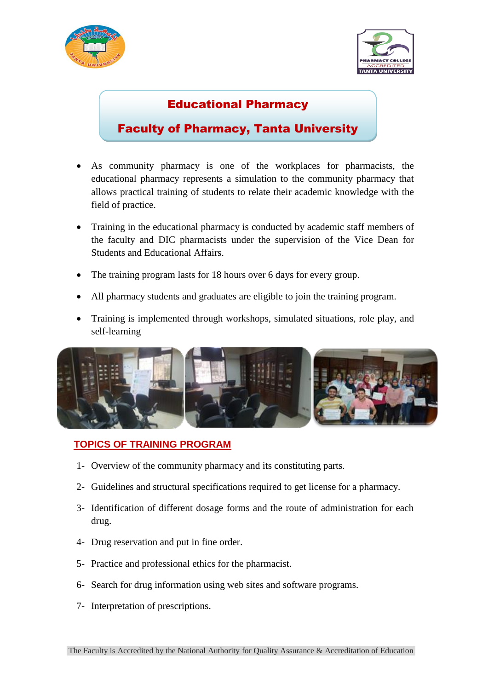



## Educational Pharmacy

## Faculty of Pharmacy, Tanta University

- As community pharmacy is one of the workplaces for pharmacists, the educational pharmacy represents a simulation to the community pharmacy that allows practical training of students to relate their academic knowledge with the field of practice.
- Training in the educational pharmacy is conducted by academic staff members of the faculty and DIC pharmacists under the supervision of the Vice Dean for Students and Educational Affairs.
- The training program lasts for 18 hours over 6 days for every group.
- All pharmacy students and graduates are eligible to join the training program.
- Training is implemented through workshops, simulated situations, role play, and self-learning



## **TOPICS OF TRAINING PROGRAM**

- 1- Overview of the community pharmacy and its constituting parts.
- 2- Guidelines and structural specifications required to get license for a pharmacy.
- 3- Identification of different dosage forms and the route of administration for each drug.
- 4- Drug reservation and put in fine order.
- 5- Practice and professional ethics for the pharmacist.
- 6- Search for drug information using web sites and software programs.
- 7- Interpretation of prescriptions.